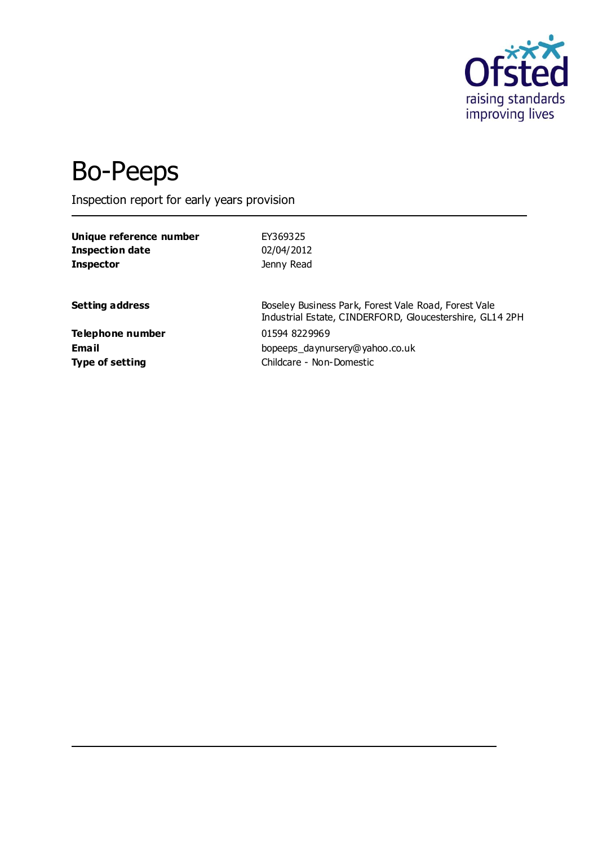

# Bo-Peeps

Inspection report for early years provision

| Unique reference number | EY369325                                                                                                         |
|-------------------------|------------------------------------------------------------------------------------------------------------------|
| <b>Inspection date</b>  | 02/04/2012                                                                                                       |
| <b>Inspector</b>        | Jenny Read                                                                                                       |
| <b>Setting address</b>  | Boseley Business Park, Forest Vale Road, Forest Vale<br>Industrial Estate, CINDERFORD, Gloucestershire, GL14 2PH |
| Telephone number        | 01594 8229969                                                                                                    |
| <b>Email</b>            | bopeeps daynursery@yahoo.co.uk                                                                                   |
| <b>Type of setting</b>  | Childcare - Non-Domestic                                                                                         |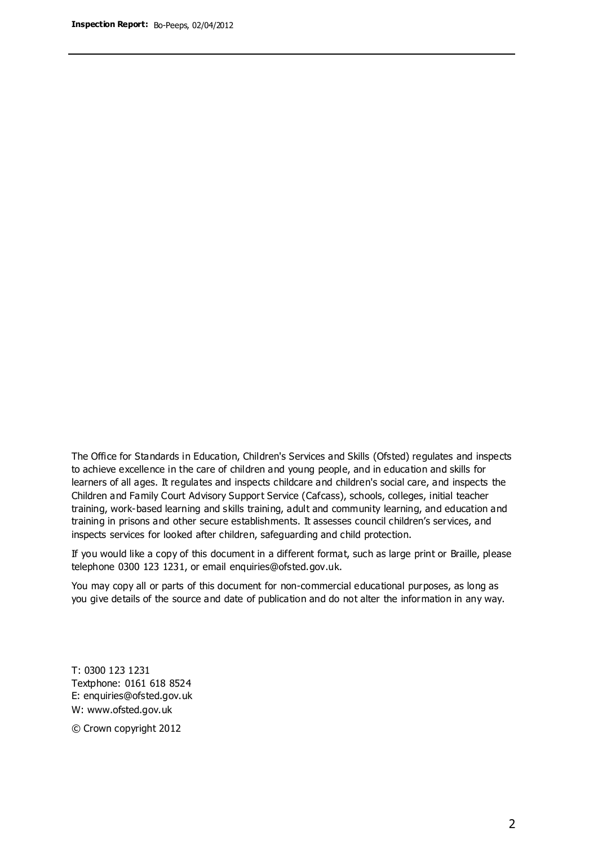The Office for Standards in Education, Children's Services and Skills (Ofsted) regulates and inspects to achieve excellence in the care of children and young people, and in education and skills for learners of all ages. It regulates and inspects childcare and children's social care, and inspects the Children and Family Court Advisory Support Service (Cafcass), schools, colleges, initial teacher training, work-based learning and skills training, adult and community learning, and education and training in prisons and other secure establishments. It assesses council children's services, and inspects services for looked after children, safeguarding and child protection.

If you would like a copy of this document in a different format, such as large print or Braille, please telephone 0300 123 1231, or email enquiries@ofsted.gov.uk.

You may copy all or parts of this document for non-commercial educational purposes, as long as you give details of the source and date of publication and do not alter the information in any way.

T: 0300 123 1231 Textphone: 0161 618 8524 E: enquiries@ofsted.gov.uk W: [www.ofsted.gov.uk](http://www.ofsted.gov.uk/)

© Crown copyright 2012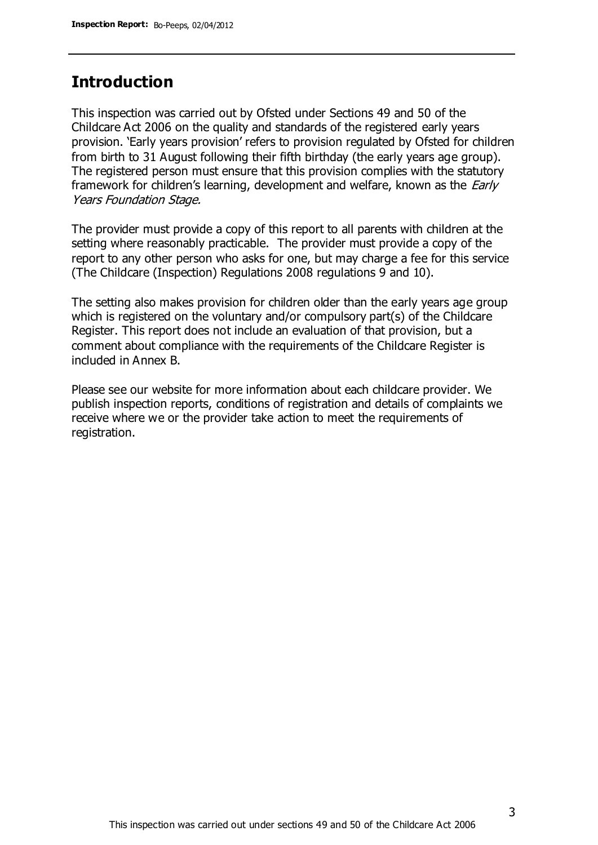## **Introduction**

This inspection was carried out by Ofsted under Sections 49 and 50 of the Childcare Act 2006 on the quality and standards of the registered early years provision. 'Early years provision' refers to provision regulated by Ofsted for children from birth to 31 August following their fifth birthday (the early years age group). The registered person must ensure that this provision complies with the statutory framework for children's learning, development and welfare, known as the *Early* Years Foundation Stage.

The provider must provide a copy of this report to all parents with children at the setting where reasonably practicable. The provider must provide a copy of the report to any other person who asks for one, but may charge a fee for this service (The Childcare (Inspection) Regulations 2008 regulations 9 and 10).

The setting also makes provision for children older than the early years age group which is registered on the voluntary and/or compulsory part(s) of the Childcare Register. This report does not include an evaluation of that provision, but a comment about compliance with the requirements of the Childcare Register is included in Annex B.

Please see our website for more information about each childcare provider. We publish inspection reports, conditions of registration and details of complaints we receive where we or the provider take action to meet the requirements of registration.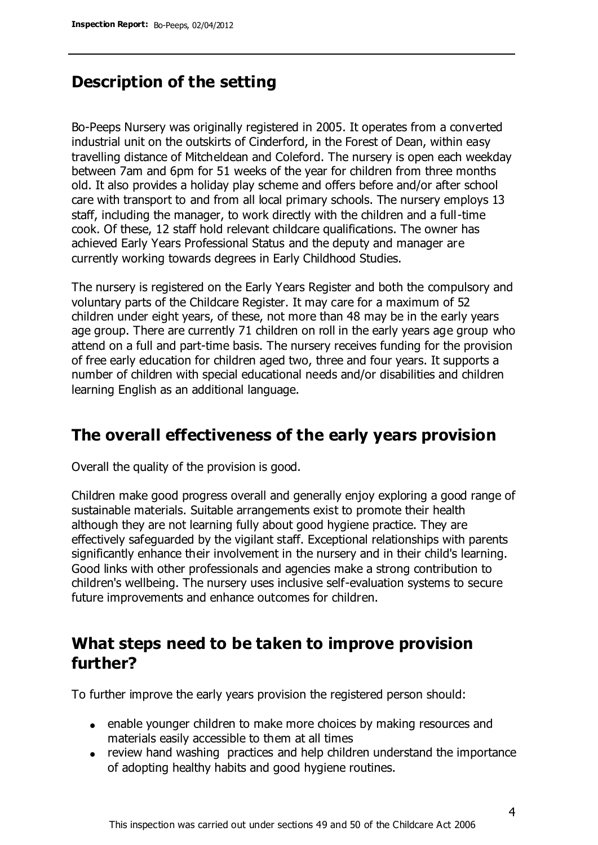# **Description of the setting**

Bo-Peeps Nursery was originally registered in 2005. It operates from a converted industrial unit on the outskirts of Cinderford, in the Forest of Dean, within easy travelling distance of Mitcheldean and Coleford. The nursery is open each weekday between 7am and 6pm for 51 weeks of the year for children from three months old. It also provides a holiday play scheme and offers before and/or after school care with transport to and from all local primary schools. The nursery employs 13 staff, including the manager, to work directly with the children and a full-time cook. Of these, 12 staff hold relevant childcare qualifications. The owner has achieved Early Years Professional Status and the deputy and manager are currently working towards degrees in Early Childhood Studies.

The nursery is registered on the Early Years Register and both the compulsory and voluntary parts of the Childcare Register. It may care for a maximum of 52 children under eight years, of these, not more than 48 may be in the early years age group. There are currently 71 children on roll in the early years age group who attend on a full and part-time basis. The nursery receives funding for the provision of free early education for children aged two, three and four years. It supports a number of children with special educational needs and/or disabilities and children learning English as an additional language.

## **The overall effectiveness of the early years provision**

Overall the quality of the provision is good.

Children make good progress overall and generally enjoy exploring a good range of sustainable materials. Suitable arrangements exist to promote their health although they are not learning fully about good hygiene practice. They are effectively safeguarded by the vigilant staff. Exceptional relationships with parents significantly enhance their involvement in the nursery and in their child's learning. Good links with other professionals and agencies make a strong contribution to children's wellbeing. The nursery uses inclusive self-evaluation systems to secure future improvements and enhance outcomes for children.

## **What steps need to be taken to improve provision further?**

To further improve the early years provision the registered person should:

- enable younger children to make more choices by making resources and materials easily accessible to them at all times
- review hand washing practices and help children understand the importance of adopting healthy habits and good hygiene routines.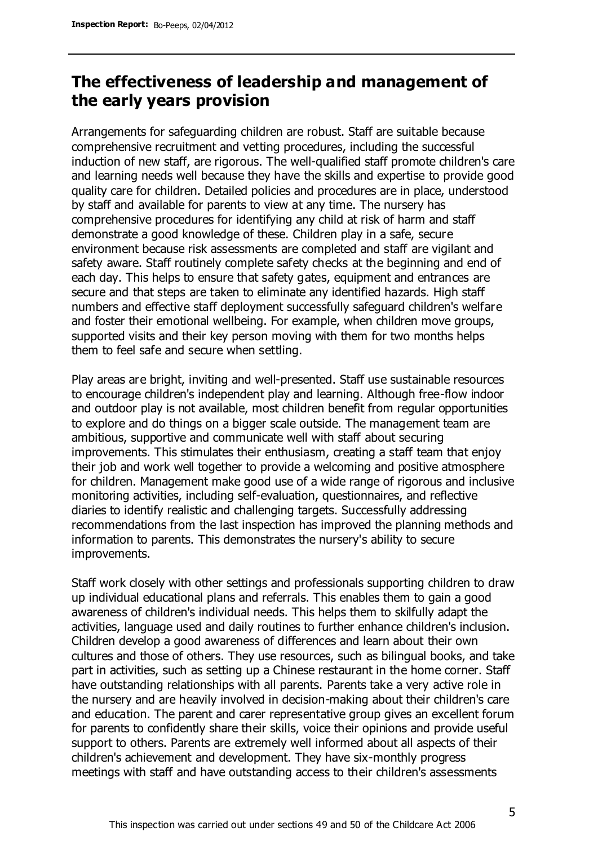# **The effectiveness of leadership and management of the early years provision**

Arrangements for safeguarding children are robust. Staff are suitable because comprehensive recruitment and vetting procedures, including the successful induction of new staff, are rigorous. The well-qualified staff promote children's care and learning needs well because they have the skills and expertise to provide good quality care for children. Detailed policies and procedures are in place, understood by staff and available for parents to view at any time. The nursery has comprehensive procedures for identifying any child at risk of harm and staff demonstrate a good knowledge of these. Children play in a safe, secure environment because risk assessments are completed and staff are vigilant and safety aware. Staff routinely complete safety checks at the beginning and end of each day. This helps to ensure that safety gates, equipment and entrances are secure and that steps are taken to eliminate any identified hazards. High staff numbers and effective staff deployment successfully safeguard children's welfare and foster their emotional wellbeing. For example, when children move groups, supported visits and their key person moving with them for two months helps them to feel safe and secure when settling.

Play areas are bright, inviting and well-presented. Staff use sustainable resources to encourage children's independent play and learning. Although free-flow indoor and outdoor play is not available, most children benefit from regular opportunities to explore and do things on a bigger scale outside. The management team are ambitious, supportive and communicate well with staff about securing improvements. This stimulates their enthusiasm, creating a staff team that enjoy their job and work well together to provide a welcoming and positive atmosphere for children. Management make good use of a wide range of rigorous and inclusive monitoring activities, including self-evaluation, questionnaires, and reflective diaries to identify realistic and challenging targets. Successfully addressing recommendations from the last inspection has improved the planning methods and information to parents. This demonstrates the nursery's ability to secure improvements.

Staff work closely with other settings and professionals supporting children to draw up individual educational plans and referrals. This enables them to gain a good awareness of children's individual needs. This helps them to skilfully adapt the activities, language used and daily routines to further enhance children's inclusion. Children develop a good awareness of differences and learn about their own cultures and those of others. They use resources, such as bilingual books, and take part in activities, such as setting up a Chinese restaurant in the home corner. Staff have outstanding relationships with all parents. Parents take a very active role in the nursery and are heavily involved in decision-making about their children's care and education. The parent and carer representative group gives an excellent forum for parents to confidently share their skills, voice their opinions and provide useful support to others. Parents are extremely well informed about all aspects of their children's achievement and development. They have six-monthly progress meetings with staff and have outstanding access to their children's assessments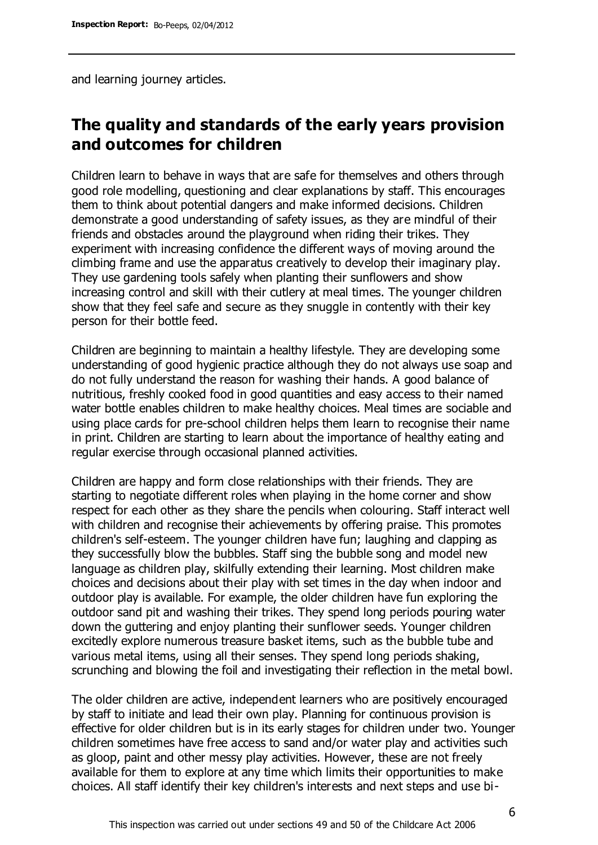and learning journey articles.

# **The quality and standards of the early years provision and outcomes for children**

Children learn to behave in ways that are safe for themselves and others through good role modelling, questioning and clear explanations by staff. This encourages them to think about potential dangers and make informed decisions. Children demonstrate a good understanding of safety issues, as they are mindful of their friends and obstacles around the playground when riding their trikes. They experiment with increasing confidence the different ways of moving around the climbing frame and use the apparatus creatively to develop their imaginary play. They use gardening tools safely when planting their sunflowers and show increasing control and skill with their cutlery at meal times. The younger children show that they feel safe and secure as they snuggle in contently with their key person for their bottle feed.

Children are beginning to maintain a healthy lifestyle. They are developing some understanding of good hygienic practice although they do not always use soap and do not fully understand the reason for washing their hands. A good balance of nutritious, freshly cooked food in good quantities and easy access to their named water bottle enables children to make healthy choices. Meal times are sociable and using place cards for pre-school children helps them learn to recognise their name in print. Children are starting to learn about the importance of healthy eating and regular exercise through occasional planned activities.

Children are happy and form close relationships with their friends. They are starting to negotiate different roles when playing in the home corner and show respect for each other as they share the pencils when colouring. Staff interact well with children and recognise their achievements by offering praise. This promotes children's self-esteem. The younger children have fun; laughing and clapping as they successfully blow the bubbles. Staff sing the bubble song and model new language as children play, skilfully extending their learning. Most children make choices and decisions about their play with set times in the day when indoor and outdoor play is available. For example, the older children have fun exploring the outdoor sand pit and washing their trikes. They spend long periods pouring water down the guttering and enjoy planting their sunflower seeds. Younger children excitedly explore numerous treasure basket items, such as the bubble tube and various metal items, using all their senses. They spend long periods shaking, scrunching and blowing the foil and investigating their reflection in the metal bowl.

The older children are active, independent learners who are positively encouraged by staff to initiate and lead their own play. Planning for continuous provision is effective for older children but is in its early stages for children under two. Younger children sometimes have free access to sand and/or water play and activities such as gloop, paint and other messy play activities. However, these are not freely available for them to explore at any time which limits their opportunities to make choices. All staff identify their key children's interests and next steps and use bi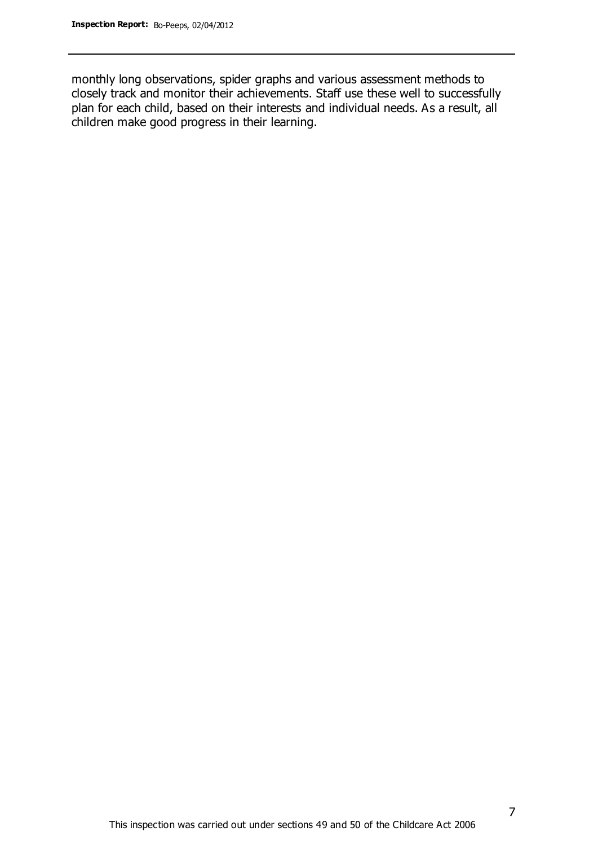monthly long observations, spider graphs and various assessment methods to closely track and monitor their achievements. Staff use these well to successfully plan for each child, based on their interests and individual needs. As a result, all children make good progress in their learning.

7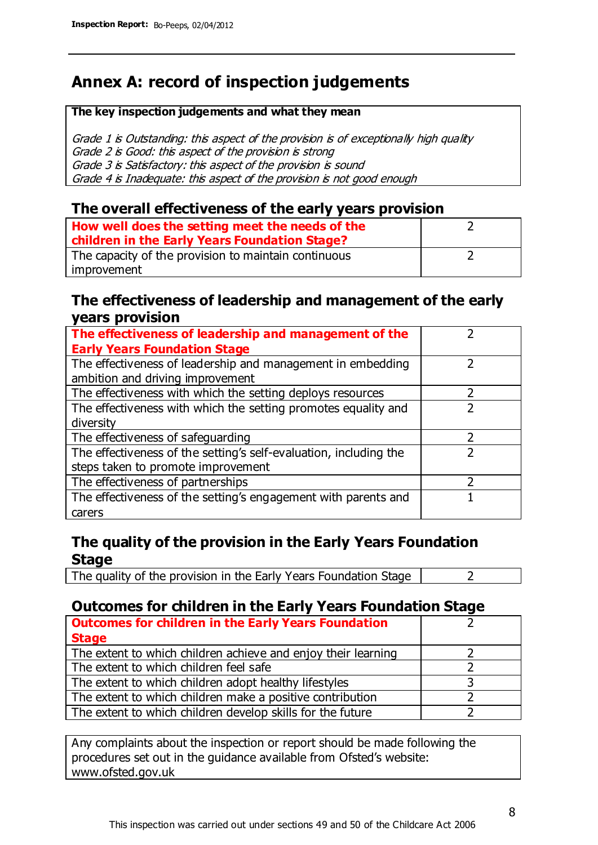# **Annex A: record of inspection judgements**

#### **The key inspection judgements and what they mean**

Grade 1 is Outstanding: this aspect of the provision is of exceptionally high quality Grade 2 is Good: this aspect of the provision is strong Grade 3 is Satisfactory: this aspect of the provision is sound Grade 4 is Inadequate: this aspect of the provision is not good enough

### **The overall effectiveness of the early years provision**

| How well does the setting meet the needs of the<br>children in the Early Years Foundation Stage? |  |
|--------------------------------------------------------------------------------------------------|--|
| The capacity of the provision to maintain continuous                                             |  |
| improvement                                                                                      |  |

### **The effectiveness of leadership and management of the early years provision**

| The effectiveness of leadership and management of the             |  |
|-------------------------------------------------------------------|--|
| <b>Early Years Foundation Stage</b>                               |  |
| The effectiveness of leadership and management in embedding       |  |
| ambition and driving improvement                                  |  |
| The effectiveness with which the setting deploys resources        |  |
| The effectiveness with which the setting promotes equality and    |  |
| diversity                                                         |  |
| The effectiveness of safeguarding                                 |  |
| The effectiveness of the setting's self-evaluation, including the |  |
| steps taken to promote improvement                                |  |
| The effectiveness of partnerships                                 |  |
| The effectiveness of the setting's engagement with parents and    |  |
| carers                                                            |  |

## **The quality of the provision in the Early Years Foundation Stage**

The quality of the provision in the Early Years Foundation Stage  $\vert$  2

## **Outcomes for children in the Early Years Foundation Stage**

| <b>Outcomes for children in the Early Years Foundation</b>    |  |
|---------------------------------------------------------------|--|
| <b>Stage</b>                                                  |  |
| The extent to which children achieve and enjoy their learning |  |
| The extent to which children feel safe                        |  |
| The extent to which children adopt healthy lifestyles         |  |
| The extent to which children make a positive contribution     |  |
| The extent to which children develop skills for the future    |  |

Any complaints about the inspection or report should be made following the procedures set out in the guidance available from Ofsted's website: www.ofsted.gov.uk